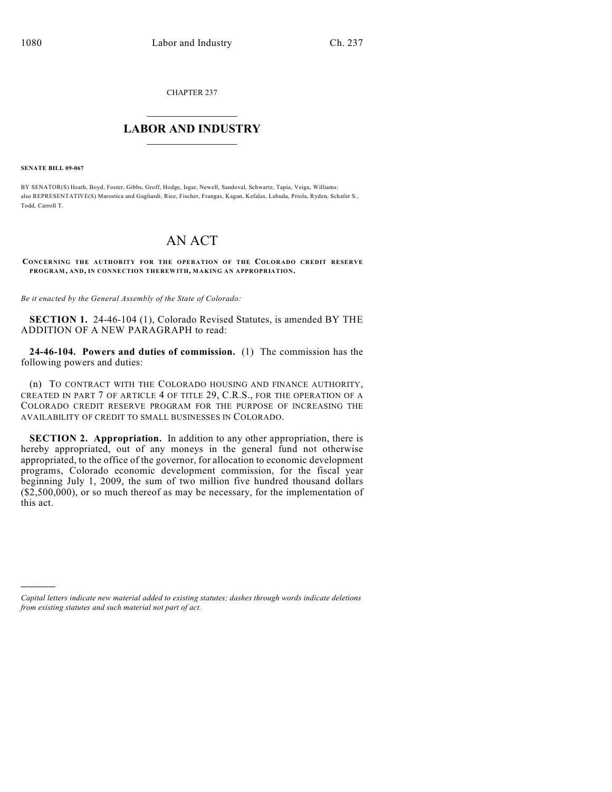CHAPTER 237

## $\mathcal{L}_\text{max}$  . The set of the set of the set of the set of the set of the set of the set of the set of the set of the set of the set of the set of the set of the set of the set of the set of the set of the set of the set **LABOR AND INDUSTRY**  $\frac{1}{\sqrt{2}}$  ,  $\frac{1}{\sqrt{2}}$  ,  $\frac{1}{\sqrt{2}}$  ,  $\frac{1}{\sqrt{2}}$  ,  $\frac{1}{\sqrt{2}}$  ,  $\frac{1}{\sqrt{2}}$

**SENATE BILL 09-067**

)))))

BY SENATOR(S) Heath, Boyd, Foster, Gibbs, Groff, Hodge, Isgar, Newell, Sandoval, Schwartz, Tapia, Veiga, Williams; also REPRESENTATIVE(S) Marostica and Gagliardi, Rice, Fischer, Frangas, Kagan, Kefalas, Labuda, Priola, Ryden, Schafer S., Todd, Carroll T.

## AN ACT

**CONCERNING THE AUTHORITY FOR THE OPERATION OF THE COLORADO CREDIT RESERVE PROGRAM, AND, IN CONNECTION THEREWITH, MAKING AN APPROPRIATION.**

*Be it enacted by the General Assembly of the State of Colorado:*

**SECTION 1.** 24-46-104 (1), Colorado Revised Statutes, is amended BY THE ADDITION OF A NEW PARAGRAPH to read:

**24-46-104. Powers and duties of commission.** (1) The commission has the following powers and duties:

(n) TO CONTRACT WITH THE COLORADO HOUSING AND FINANCE AUTHORITY, CREATED IN PART 7 OF ARTICLE 4 OF TITLE 29, C.R.S., FOR THE OPERATION OF A COLORADO CREDIT RESERVE PROGRAM FOR THE PURPOSE OF INCREASING THE AVAILABILITY OF CREDIT TO SMALL BUSINESSES IN COLORADO.

**SECTION 2. Appropriation.** In addition to any other appropriation, there is hereby appropriated, out of any moneys in the general fund not otherwise appropriated, to the office of the governor, for allocation to economic development programs, Colorado economic development commission, for the fiscal year beginning July 1, 2009, the sum of two million five hundred thousand dollars (\$2,500,000), or so much thereof as may be necessary, for the implementation of this act.

*Capital letters indicate new material added to existing statutes; dashes through words indicate deletions from existing statutes and such material not part of act.*